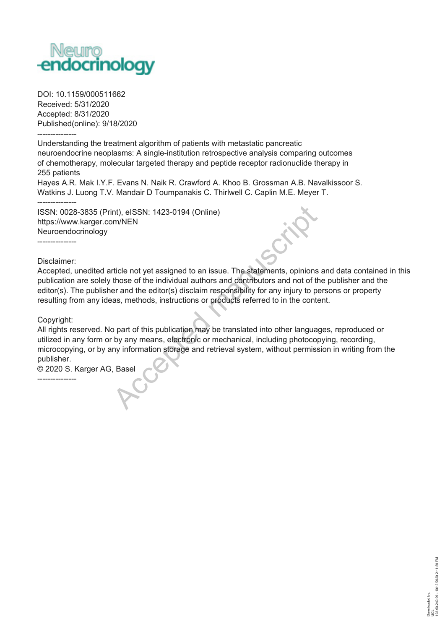

DOI: 10.1159/000511662 Received: 5/31/2020 Accepted: 8/31/2020 Published(online): 9/18/2020 ---------------

Understanding the treatment algorithm of patients with metastatic pancreatic neuroendocrine neoplasms: A single-institution retrospective analysis comparing outcomes of chemotherapy, molecular targeted therapy and peptide receptor radionuclide therapy in 255 patients

Hayes A.R. Mak I.Y.F. Evans N. Naik R. Crawford A. Khoo B. Grossman A.B. Navalkissoor S. Watkins J. Luong T.V. Mandair D Toumpanakis C. Thirlwell C. Caplin M.E. Meyer T.

ISSN: 0028-3835 (Print), eISSN: 1423-0194 (Online) https://www.karger.com/NEN Neuroendocrinology ---------------

Disclaimer:

 $- - -$ 

Accepted, unedited article not yet assigned to an issue. The statements, opinions and data contained in this publication are solely those of the individual authors and contributors and not of the publisher and the editor(s). The publisher and the editor(s) disclaim responsibility for any injury to persons or property resulting from any ideas, methods, instructions or products referred to in the content.

Copyright:

---------------

All rights reserved. No part of this publication may be translated into other languages, reproduced or utilized in any form or by any means, electronic or mechanical, including photocopying, recording, microcopying, or by any information storage and retrieval system, without permission in writing from the publisher. int), eISSN: 1423-0194 (Online)<br>
hm/NEN<br>
tricle not yet assigned to an issue. The statements, opinions<br>
those of the individual authors and contributors and not of tl<br>
er and the editor(s) disclaim responsibility for any i

© 2020 S. Karger AG, Basel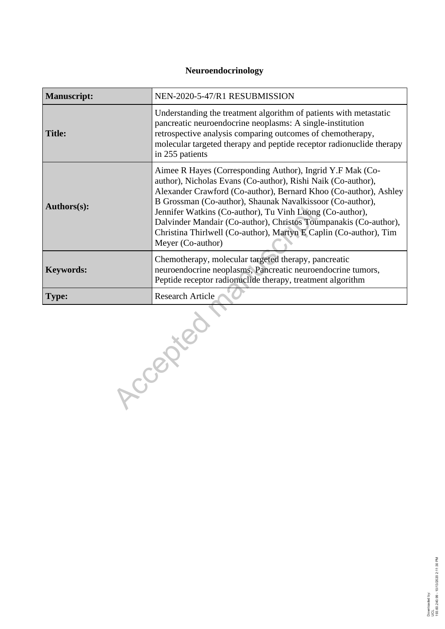# **Neuroendocrinology**

| <b>Manuscript:</b> | NEN-2020-5-47/R1 RESUBMISSION                                                                                                                                                                                                                                                                                                                                                                                                                                                        |  |  |
|--------------------|--------------------------------------------------------------------------------------------------------------------------------------------------------------------------------------------------------------------------------------------------------------------------------------------------------------------------------------------------------------------------------------------------------------------------------------------------------------------------------------|--|--|
| <b>Title:</b>      | Understanding the treatment algorithm of patients with metastatic<br>pancreatic neuroendocrine neoplasms: A single-institution<br>retrospective analysis comparing outcomes of chemotherapy,<br>molecular targeted therapy and peptide receptor radionuclide therapy<br>in 255 patients                                                                                                                                                                                              |  |  |
| Authors(s):        | Aimee R Hayes (Corresponding Author), Ingrid Y.F Mak (Co-<br>author), Nicholas Evans (Co-author), Rishi Naik (Co-author),<br>Alexander Crawford (Co-author), Bernard Khoo (Co-author), Ashley<br>B Grossman (Co-author), Shaunak Navalkissoor (Co-author),<br>Jennifer Watkins (Co-author), Tu Vinh Luong (Co-author),<br>Dalvinder Mandair (Co-author), Christos Toumpanakis (Co-author),<br>Christina Thirlwell (Co-author), Martyn E Caplin (Co-author), Tim<br>Meyer (Co-author) |  |  |
| <b>Keywords:</b>   | Chemotherapy, molecular targeted therapy, pancreatic<br>neuroendocrine neoplasms, Pancreatic neuroendocrine tumors,<br>Peptide receptor radionuclide therapy, treatment algorithm                                                                                                                                                                                                                                                                                                    |  |  |
| <b>Type:</b>       | <b>Research Article</b>                                                                                                                                                                                                                                                                                                                                                                                                                                                              |  |  |
|                    | Ccenter                                                                                                                                                                                                                                                                                                                                                                                                                                                                              |  |  |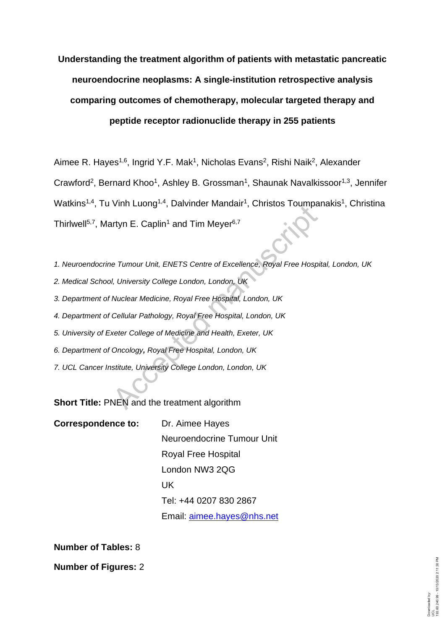# **Understanding the treatment algorithm of patients with metastatic pancreatic neuroendocrine neoplasms: A single-institution retrospective analysis comparing outcomes of chemotherapy, molecular targeted therapy and peptide receptor radionuclide therapy in 255 patients**

Aimee R. Hayes<sup>1,6</sup>, Ingrid Y.F. Mak<sup>1</sup>, Nicholas Evans<sup>2</sup>, Rishi Naik<sup>2</sup>, Alexander Crawford<sup>2</sup>, Bernard Khoo<sup>1</sup>, Ashley B. Grossman<sup>1</sup>, Shaunak Navalkissoor<sup>1,3</sup>, Jennifer Watkins<sup>1,4</sup>, Tu Vinh Luong<sup>1,4</sup>, Dalvinder Mandair<sup>1</sup>, Christos Toumpanakis<sup>1</sup>, Christina Thirlwell<sup>5,7</sup>, Martyn E. Caplin<sup>1</sup> and Tim Meyer<sup>6,7</sup> VIIIT Lucing \*, Daivinder Mandali , Christos Toumpet<br>Intyn E. Caplin<sup>1</sup> and Tim Meyer<sup>6,7</sup><br>Protour Unit, ENETS Centre of Excellence, Royal Free Hosp<br>I, University College London, London, UK<br>Nuclear Medicine, Royal Free Hos

*1. Neuroendocrine Tumour Unit, ENETS Centre of Excellence, Royal Free Hospital, London, UK*

- *2. Medical School, University College London, London, UK*
- *3. Department of Nuclear Medicine, Royal Free Hospital, London, UK*
- *4. Department of Cellular Pathology, Royal Free Hospital, London, UK*
- *5. University of Exeter College of Medicine and Health, Exeter, UK*
- *6. Department of Oncology, Royal Free Hospital, London, UK*
- *7. UCL Cancer Institute, University College London, London, UK*

**Short Title:** PNEN and the treatment algorithm

| <b>Correspondence to:</b> | Dr. Aimee Hayes            |
|---------------------------|----------------------------|
|                           | Neuroendocrine Tumour Unit |
|                           | Royal Free Hospital        |
|                           | London NW3 2QG             |
|                           | UK.                        |
|                           | Tel: +44 0207 830 2867     |
|                           | Email: aimee.hayes@nhs.net |

**Number of Tables:** 8

**Number of Figures:** 2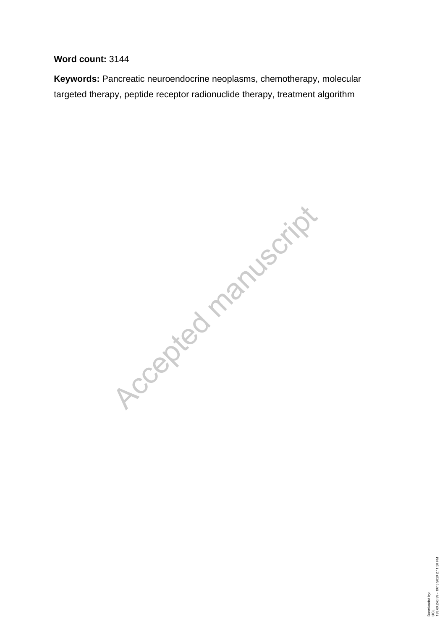# **Word count:** 3144

**Keywords:** Pancreatic neuroendocrine neoplasms, chemotherapy, molecular targeted therapy, peptide receptor radionuclide therapy, treatment algorithm

Accepted manuscript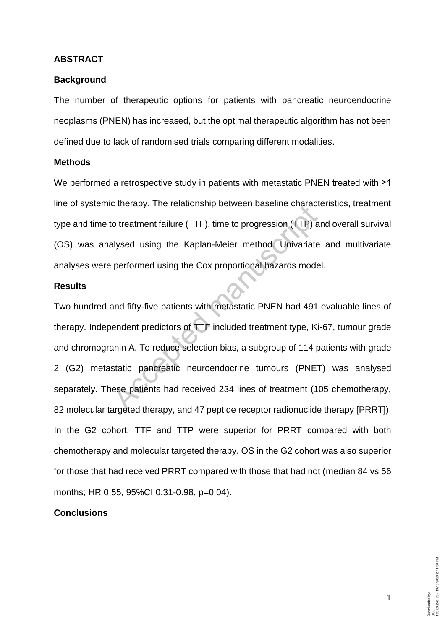#### **ABSTRACT**

#### **Background**

The number of therapeutic options for patients with pancreatic neuroendocrine neoplasms (PNEN) has increased, but the optimal therapeutic algorithm has not been defined due to lack of randomised trials comparing different modalities.

## **Methods**

We performed a retrospective study in patients with metastatic PNEN treated with ≥1 line of systemic therapy. The relationship between baseline characteristics, treatment type and time to treatment failure (TTF), time to progression (TTP) and overall survival (OS) was analysed using the Kaplan-Meier method. Univariate and multivariate analyses were performed using the Cox proportional hazards model.

## **Results**

Two hundred and fifty-five patients with metastatic PNEN had 491 evaluable lines of therapy. Independent predictors of TTF included treatment type, Ki-67, tumour grade and chromogranin A. To reduce selection bias, a subgroup of 114 patients with grade 2 (G2) metastatic pancreatic neuroendocrine tumours (PNET) was analysed separately. These patients had received 234 lines of treatment (105 chemotherapy, 82 molecular targeted therapy, and 47 peptide receptor radionuclide therapy [PRRT]). In the G2 cohort, TTF and TTP were superior for PRRT compared with both chemotherapy and molecular targeted therapy. OS in the G2 cohort was also superior for those that had received PRRT compared with those that had not (median 84 vs 56 months; HR 0.55, 95%CI 0.31-0.98, p=0.04). o treatment failure (TTF), time to progression (TTP) a<br>alysed using the Kaplan-Meier method. Univariate<br>performed using the Cox proportional hazards mode<br>and fifty-five patients with metastatic PNEN had 491<br>endent predicto

# **Conclusions**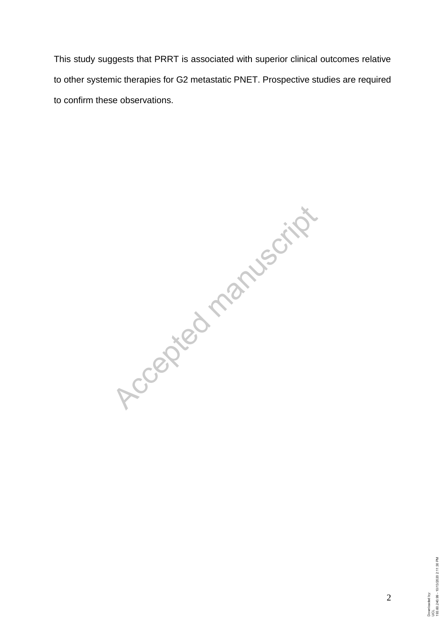This study suggests that PRRT is associated with superior clinical outcomes relative to other systemic therapies for G2 metastatic PNET. Prospective studies are required to confirm these observations.

Accepted manuscript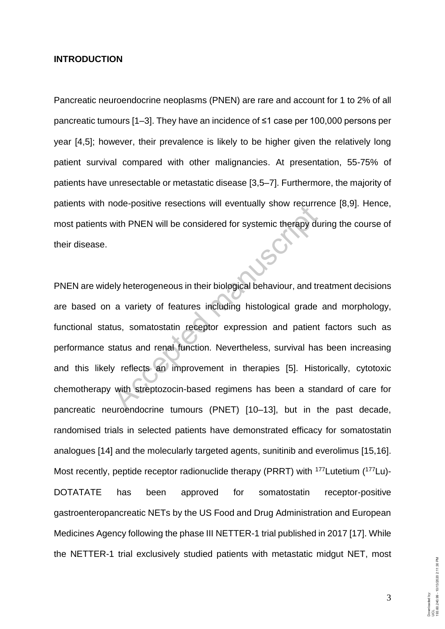## **INTRODUCTION**

Pancreatic neuroendocrine neoplasms (PNEN) are rare and account for 1 to 2% of all pancreatic tumours [1–3]. They have an incidence of ≤1 case per 100,000 persons per year [4,5]; however, their prevalence is likely to be higher given the relatively long patient survival compared with other malignancies. At presentation, 55-75% of patients have unresectable or metastatic disease [3,5–7]. Furthermore, the majority of patients with node-positive resections will eventually show recurrence [8,9]. Hence, most patients with PNEN will be considered for systemic therapy during the course of their disease.

PNEN are widely heterogeneous in their biological behaviour, and treatment decisions are based on a variety of features including histological grade and morphology, functional status, somatostatin receptor expression and patient factors such as performance status and renal function*.* Nevertheless, survival has been increasing and this likely reflects an improvement in therapies [5]. Historically, cytotoxic chemotherapy with streptozocin-based regimens has been a standard of care for pancreatic neuroendocrine tumours (PNET) [10–13], but in the past decade, randomised trials in selected patients have demonstrated efficacy for somatostatin analogues [14] and the molecularly targeted agents, sunitinib and everolimus [15,16]. Most recently, peptide receptor radionuclide therapy (PRRT) with <sup>177</sup>Lutetium (<sup>177</sup>Lu)-DOTATATE has been approved for somatostatin receptor-positive gastroenteropancreatic NETs by the US Food and Drug Administration and European Medicines Agency following the phase III NETTER-1 trial published in 2017 [17]. While the NETTER-1 trial exclusively studied patients with metastatic midgut NET, most with PNEN will be considered for systemic therapy dues with PNEN will be considered for systemic therapy dues<br>by heterogeneous in their biological behaviour, and transmitted was a variety of features including histological

3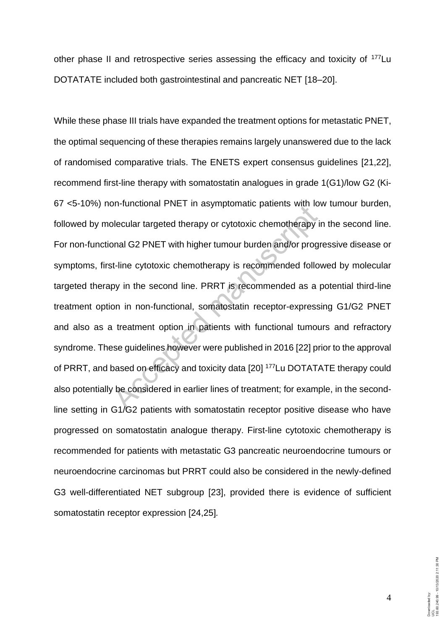other phase II and retrospective series assessing the efficacy and toxicity of <sup>177</sup>Lu DOTATATE included both gastrointestinal and pancreatic NET [18–20].

While these phase III trials have expanded the treatment options for metastatic PNET, the optimal sequencing of these therapies remains largely unanswered due to the lack of randomised comparative trials. The ENETS expert consensus guidelines [21,22], recommend first-line therapy with somatostatin analogues in grade 1(G1)/low G2 (Ki-67 <5-10%) non-functional PNET in asymptomatic patients with low tumour burden, followed by molecular targeted therapy or cytotoxic chemotherapy in the second line. For non-functional G2 PNET with higher tumour burden and/or progressive disease or symptoms, first-line cytotoxic chemotherapy is recommended followed by molecular targeted therapy in the second line. PRRT is recommended as a potential third-line treatment option in non-functional, somatostatin receptor-expressing G1/G2 PNET and also as a treatment option in patients with functional tumours and refractory syndrome. These guidelines however were published in 2016 [22] prior to the approval of PRRT, and based on efficacy and toxicity data [20] <sup>177</sup>Lu DOTATATE therapy could also potentially be considered in earlier lines of treatment; for example, in the secondline setting in G1/G2 patients with somatostatin receptor positive disease who have progressed on somatostatin analogue therapy. First-line cytotoxic chemotherapy is recommended for patients with metastatic G3 pancreatic neuroendocrine tumours or neuroendocrine carcinomas but PRRT could also be considered in the newly-defined G3 well-differentiated NET subgroup [23], provided there is evidence of sufficient somatostatin receptor expression [24,25]*.* blecular targeted therapy or cytotoxic chemotherapy<br>blecular targeted therapy or cytotoxic chemotherapy<br>ponal G2 PNET with higher tumour burden and/or prog<br>at-line cytotoxic chemotherapy is recommended follo<br>py in the seco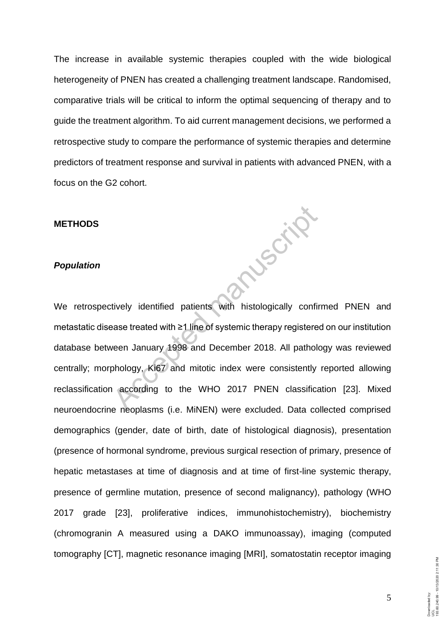The increase in available systemic therapies coupled with the wide biological heterogeneity of PNEN has created a challenging treatment landscape. Randomised, comparative trials will be critical to inform the optimal sequencing of therapy and to guide the treatment algorithm. To aid current management decisions, we performed a retrospective study to compare the performance of systemic therapies and determine predictors of treatment response and survival in patients with advanced PNEN, with a focus on the G2 cohort.

**Muscular** 

## **METHODS**

## *Population*

We retrospectively identified patients with histologically confirmed PNEN and metastatic disease treated with ≥1 line of systemic therapy registered on our institution database between January 1998 and December 2018. All pathology was reviewed centrally; morphology, Ki67 and mitotic index were consistently reported allowing reclassification according to the WHO 2017 PNEN classification [23]. Mixed neuroendocrine neoplasms (i.e. MiNEN) were excluded. Data collected comprised demographics (gender, date of birth, date of histological diagnosis), presentation (presence of hormonal syndrome, previous surgical resection of primary, presence of hepatic metastases at time of diagnosis and at time of first-line systemic therapy, presence of germline mutation, presence of second malignancy), pathology (WHO 2017 grade [23], proliferative indices, immunohistochemistry), biochemistry (chromogranin A measured using a DAKO immunoassay), imaging (computed tomography [CT], magnetic resonance imaging [MRI], somatostatin receptor imaging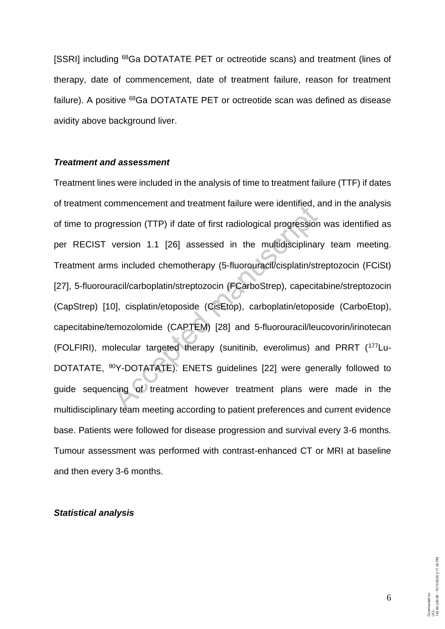[SSRI] including <sup>68</sup>Ga DOTATATE PET or octreotide scans) and treatment (lines of therapy, date of commencement, date of treatment failure, reason for treatment failure). A positive <sup>68</sup>Ga DOTATATE PET or octreotide scan was defined as disease avidity above background liver.

## *Treatment and assessment*

Treatment lines were included in the analysis of time to treatment failure (TTF) if dates of treatment commencement and treatment failure were identified, and in the analysis of time to progression (TTP) if date of first radiological progression was identified as per RECIST version 1.1 [26] assessed in the multidisciplinary team meeting. Treatment arms included chemotherapy (5-fluorouracil/cisplatin/streptozocin (FCiSt) [27], 5-fluorouracil/carboplatin/streptozocin (FCarboStrep), capecitabine/streptozocin (CapStrep) [10], cisplatin/etoposide (CisEtop), carboplatin/etoposide (CarboEtop), capecitabine/temozolomide (CAPTEM) [28] and 5-fluorouracil/leucovorin/irinotecan (FOLFIRI), molecular targeted therapy (sunitinib, everolimus) and PRRT (177Lu-DOTATATE, <sup>90</sup>Y-DOTATATE). ENETS guidelines [22] were generally followed to guide sequencing of treatment however treatment plans were made in the multidisciplinary team meeting according to patient preferences and current evidence base. Patients were followed for disease progression and survival every 3-6 months. Tumour assessment was performed with contrast-enhanced CT or MRI at baseline and then every 3-6 months. Francence and teament lande were definited, a<br>pression (TTP) if date of first radiological progression<br>version 1.1 [26] assessed in the multidisciplinar<br>as included chemotherapy (5-fluorouracil/cisplatin/st<br>racil/carboplat

## *Statistical analysis*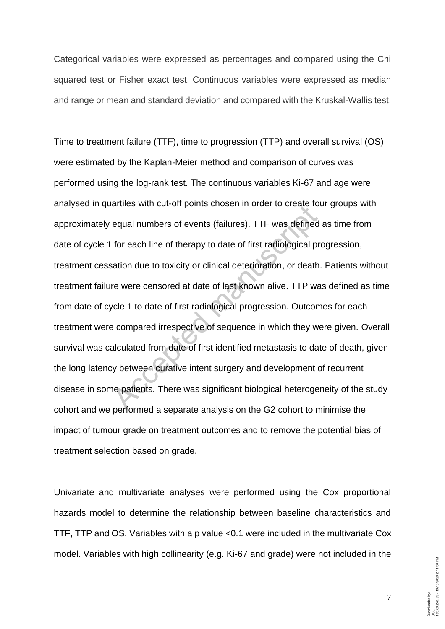Categorical variables were expressed as percentages and compared using the Chi squared test or Fisher exact test. Continuous variables were expressed as median and range or mean and standard deviation and compared with the Kruskal-Wallis test.

Time to treatment failure (TTF), time to progression (TTP) and overall survival (OS) were estimated by the Kaplan-Meier method and comparison of curves was performed using the log-rank test. The continuous variables Ki-67 and age were analysed in quartiles with cut-off points chosen in order to create four groups with approximately equal numbers of events (failures). TTF was defined as time from date of cycle 1 for each line of therapy to date of first radiological progression, treatment cessation due to toxicity or clinical deterioration, or death. Patients without treatment failure were censored at date of last known alive. TTP was defined as time from date of cycle 1 to date of first radiological progression. Outcomes for each treatment were compared irrespective of sequence in which they were given. Overall survival was calculated from date of first identified metastasis to date of death, given the long latency between curative intent surgery and development of recurrent disease in some patients. There was significant biological heterogeneity of the study cohort and we performed a separate analysis on the G2 cohort to minimise the impact of tumour grade on treatment outcomes and to remove the potential bias of treatment selection based on grade. atilies will cut-off points chosen in order to create it<br>equal numbers of events (failures). TTF was defined<br>for each line of therapy to date of first radiological p<br>ration due to toxicity or clinical deterioration, or dea

Univariate and multivariate analyses were performed using the Cox proportional hazards model to determine the relationship between baseline characteristics and TTF, TTP and OS. Variables with a p value <0.1 were included in the multivariate Cox model. Variables with high collinearity (e.g. Ki-67 and grade) were not included in the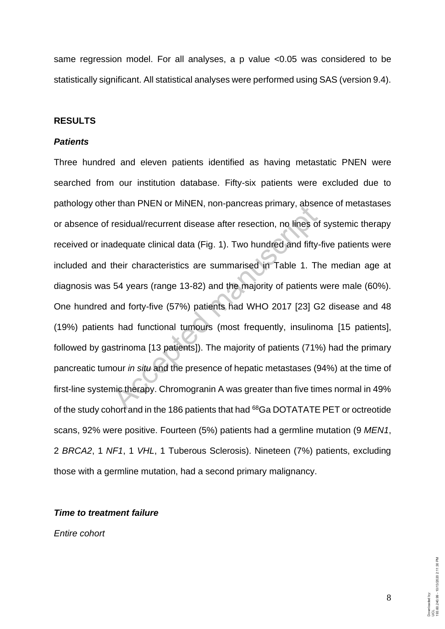same regression model. For all analyses, a p value <0.05 was considered to be statistically significant. All statistical analyses were performed using SAS (version 9.4).

# **RESULTS**

## *Patients*

Three hundred and eleven patients identified as having metastatic PNEN were searched from our institution database. Fifty-six patients were excluded due to pathology other than PNEN or MiNEN, non-pancreas primary, absence of metastases or absence of residual/recurrent disease after resection, no lines of systemic therapy received or inadequate clinical data (Fig. 1). Two hundred and fifty-five patients were included and their characteristics are summarised in Table 1. The median age at diagnosis was 54 years (range 13-82) and the majority of patients were male (60%). One hundred and forty-five (57%) patients had WHO 2017 [23] G2 disease and 48 (19%) patients had functional tumours (most frequently, insulinoma [15 patients], followed by gastrinoma [13 patients]). The majority of patients (71%) had the primary pancreatic tumour *in situ* and the presence of hepatic metastases (94%) at the time of first-line systemic therapy. Chromogranin A was greater than five times normal in 49% of the study cohort and in the 186 patients that had <sup>68</sup>Ga DOTATATE PET or octreotide scans, 92% were positive. Fourteen (5%) patients had a germline mutation (9 *MEN1*, 2 *BRCA2*, 1 *NF1*, 1 *VHL*, 1 Tuberous Sclerosis). Nineteen (7%) patients, excluding those with a germline mutation, had a second primary malignancy. Final Precivior Minkeln, non-pancreas pinnary, abse<br>residual/recurrent disease after resection, no lines of<br>adequate clinical data (Fig. 1). Two hundred and fifty<br>their characteristics are summarised in Table 1. Tl<br>54 yea

## *Time to treatment failure*

*Entire cohort*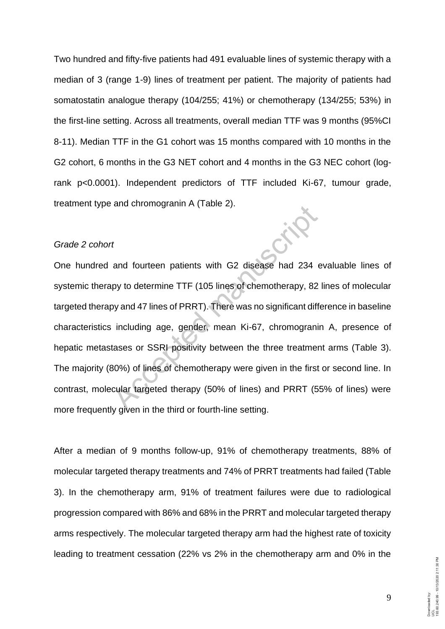Two hundred and fifty-five patients had 491 evaluable lines of systemic therapy with a median of 3 (range 1-9) lines of treatment per patient. The majority of patients had somatostatin analogue therapy (104/255; 41%) or chemotherapy (134/255; 53%) in the first-line setting. Across all treatments, overall median TTF was 9 months (95%CI 8-11). Median TTF in the G1 cohort was 15 months compared with 10 months in the G2 cohort, 6 months in the G3 NET cohort and 4 months in the G3 NEC cohort (logrank p<0.0001). Independent predictors of TTF included Ki-67, tumour grade, treatment type and chromogranin A (Table 2).

## *Grade 2 cohort*

One hundred and fourteen patients with G2 disease had 234 evaluable lines of systemic therapy to determine TTF (105 lines of chemotherapy, 82 lines of molecular targeted therapy and 47 lines of PRRT). There was no significant difference in baseline characteristics including age, gender, mean Ki-67, chromogranin A, presence of hepatic metastases or SSRI positivity between the three treatment arms (Table 3). The majority (80%) of lines of chemotherapy were given in the first or second line. In contrast, molecular targeted therapy (50% of lines) and PRRT (55% of lines) were more frequently given in the third or fourth-line setting. A transformation of transformation of transformation of the time setting and fourteen patients with G2 disease had 234 and the determine TTF (105 lines of chemotherapy, 82<br>by and 47 lines of PRRT). There was no significan

After a median of 9 months follow-up, 91% of chemotherapy treatments, 88% of molecular targeted therapy treatments and 74% of PRRT treatments had failed (Table 3). In the chemotherapy arm, 91% of treatment failures were due to radiological progression compared with 86% and 68% in the PRRT and molecular targeted therapy arms respectively. The molecular targeted therapy arm had the highest rate of toxicity leading to treatment cessation (22% vs 2% in the chemotherapy arm and 0% in the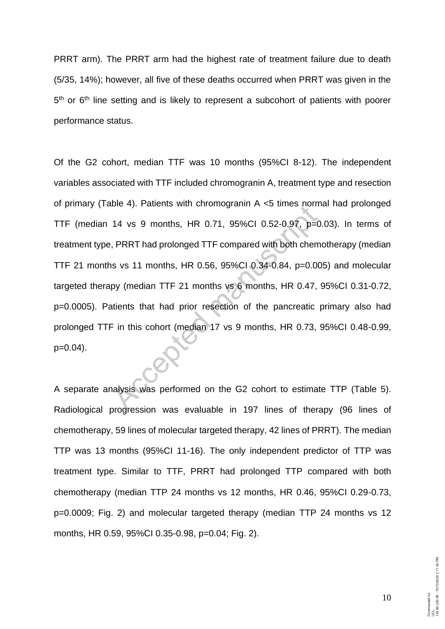PRRT arm). The PRRT arm had the highest rate of treatment failure due to death (5/35, 14%); however, all five of these deaths occurred when PRRT was given in the 5<sup>th</sup> or 6<sup>th</sup> line setting and is likely to represent a subcohort of patients with poorer performance status.

Of the G2 cohort, median TTF was 10 months (95%CI 8-12). The independent variables associated with TTF included chromogranin A, treatment type and resection of primary (Table 4). Patients with chromogranin A <5 times normal had prolonged TTF (median 14 vs 9 months, HR 0.71, 95%CI 0.52-0.97, p=0.03). In terms of treatment type, PRRT had prolonged TTF compared with both chemotherapy (median TTF 21 months vs 11 months, HR 0.56, 95%CI 0.34-0.84, p=0.005) and molecular targeted therapy (median TTF 21 months vs 6 months, HR 0.47, 95%CI 0.31-0.72, p=0.0005). Patients that had prior resection of the pancreatic primary also had prolonged TTF in this cohort (median 17 vs 9 months, HR 0.73, 95%CI 0.48-0.99,  $p=0.04$ ). 14 vs 9 months, HR 0.71, 95%CI 0.52-0.97, p=<br>
PRRT had prolonged TTF compared with both chem<br>
s vs 11 months, HR 0.56, 95%CI 0.34-0.84, p=0.0<br>
py (median TTF 21 months vs 6 months, HR 0.47,<br>
titents that had prior resectio

A separate analysis was performed on the G2 cohort to estimate TTP (Table 5). Radiological progression was evaluable in 197 lines of therapy (96 lines of chemotherapy, 59 lines of molecular targeted therapy, 42 lines of PRRT). The median TTP was 13 months (95%CI 11-16). The only independent predictor of TTP was treatment type. Similar to TTF, PRRT had prolonged TTP compared with both chemotherapy (median TTP 24 months vs 12 months, HR 0.46, 95%CI 0.29-0.73, p=0.0009; Fig. 2) and molecular targeted therapy (median TTP 24 months vs 12 months, HR 0.59, 95%CI 0.35-0.98, p=0.04; Fig. 2).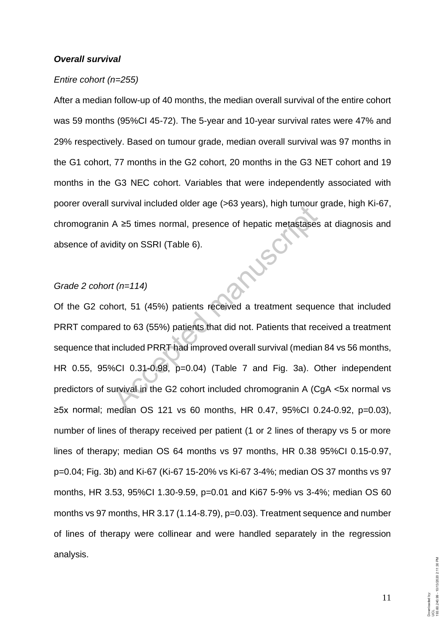#### *Overall survival*

#### *Entire cohort (n=255)*

After a median follow-up of 40 months, the median overall survival of the entire cohort was 59 months (95%CI 45-72). The 5-year and 10-year survival rates were 47% and 29% respectively. Based on tumour grade, median overall survival was 97 months in the G1 cohort, 77 months in the G2 cohort, 20 months in the G3 NET cohort and 19 months in the G3 NEC cohort. Variables that were independently associated with poorer overall survival included older age (>63 years), high tumour grade, high Ki-67, chromogranin A ≥5 times normal, presence of hepatic metastases at diagnosis and<br>absence of avidity on SSRI (Table 6).<br>Grade 2 cohort (1999) absence of avidity on SSRI (Table 6).

# *Grade 2 cohort (n=114)*

Of the G2 cohort, 51 (45%) patients received a treatment sequence that included PRRT compared to 63 (55%) patients that did not. Patients that received a treatment sequence that included PRRT had improved overall survival (median 84 vs 56 months, HR 0.55, 95%CI 0.31-0.98, p=0.04) (Table 7 and Fig. 3a). Other independent predictors of survival in the G2 cohort included chromogranin A (CgA <5x normal vs ≥5x normal; median OS 121 vs 60 months, HR 0.47, 95%CI 0.24-0.92, p=0.03), number of lines of therapy received per patient (1 or 2 lines of therapy vs 5 or more lines of therapy; median OS 64 months vs 97 months, HR 0.38 95%CI 0.15-0.97, p=0.04; Fig. 3b) and Ki-67 (Ki-67 15-20% vs Ki-67 3-4%; median OS 37 months vs 97 months, HR 3.53, 95%CI 1.30-9.59, p=0.01 and Ki67 5-9% vs 3-4%; median OS 60 months vs 97 months, HR 3.17 (1.14-8.79), p=0.03). Treatment sequence and number of lines of therapy were collinear and were handled separately in the regression analysis.  $A \ge 5$  times normal, presence of hepatic metastases<br>dity on SSRI (Table 6).<br> $t$  ( $n=114$ )<br>nort, 51 (45%) patients received a treatment seque<br>ed to 63 (55%) patients that did not. Patients that red<br>included PRRT had impro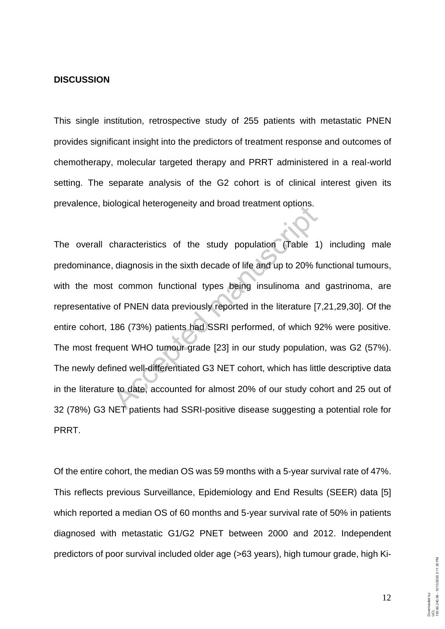## **DISCUSSION**

This single institution, retrospective study of 255 patients with metastatic PNEN provides significant insight into the predictors of treatment response and outcomes of chemotherapy, molecular targeted therapy and PRRT administered in a real-world setting. The separate analysis of the G2 cohort is of clinical interest given its prevalence, biological heterogeneity and broad treatment options.

The overall characteristics of the study population (Table 1) including male predominance, diagnosis in the sixth decade of life and up to 20% functional tumours, with the most common functional types being insulinoma and gastrinoma, are representative of PNEN data previously reported in the literature [7,21,29,30]. Of the entire cohort, 186 (73%) patients had SSRI performed, of which 92% were positive. The most frequent WHO tumour grade [23] in our study population, was G2 (57%). The newly defined well-differentiated G3 NET cohort, which has little descriptive data in the literature to date, accounted for almost 20% of our study cohort and 25 out of 32 (78%) G3 NET patients had SSRI-positive disease suggesting a potential role for PRRT. Sharacteristics of the study population (Table 1, diagnosis in the sixth decade of life and up to 20% for the common functional types being insulinoma and of PNEN data previously reported in the literature [7] 186 (73%) pa

Of the entire cohort, the median OS was 59 months with a 5-year survival rate of 47%. This reflects previous Surveillance, Epidemiology and End Results (SEER) data [5] which reported a median OS of 60 months and 5-year survival rate of 50% in patients diagnosed with metastatic G1/G2 PNET between 2000 and 2012. Independent predictors of poor survival included older age (>63 years), high tumour grade, high Ki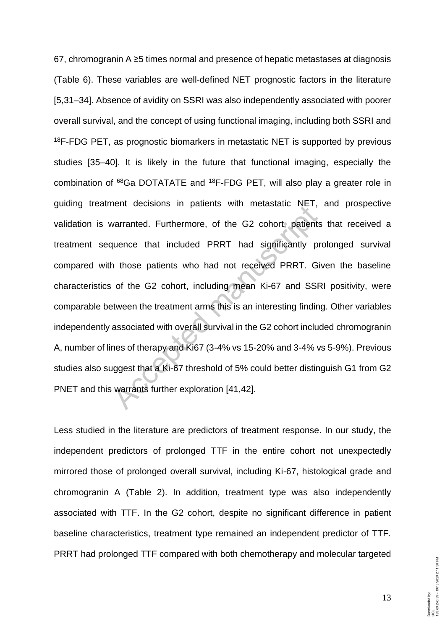67, chromogranin A ≥5 times normal and presence of hepatic metastases at diagnosis (Table 6). These variables are well-defined NET prognostic factors in the literature [5,31–34]. Absence of avidity on SSRI was also independently associated with poorer overall survival, and the concept of using functional imaging, including both SSRI and <sup>18</sup>F-FDG PET, as prognostic biomarkers in metastatic NET is supported by previous studies [35–40]. It is likely in the future that functional imaging, especially the combination of <sup>68</sup>Ga DOTATATE and <sup>18</sup>F-FDG PET, will also play a greater role in guiding treatment decisions in patients with metastatic NET, and prospective validation is warranted. Furthermore, of the G2 cohort, patients that received a treatment sequence that included PRRT had significantly prolonged survival compared with those patients who had not received PRRT. Given the baseline characteristics of the G2 cohort, including mean Ki-67 and SSRI positivity, were comparable between the treatment arms this is an interesting finding. Other variables independently associated with overall survival in the G2 cohort included chromogranin A, number of lines of therapy and Ki67 (3-4% vs 15-20% and 3-4% vs 5-9%). Previous studies also suggest that a Ki-67 threshold of 5% could better distinguish G1 from G2 PNET and this warrants further exploration [41,42]. warranted. Furthermore, of the G2 cohort, patient<br>warranted. Furthermore, of the G2 cohort, patient<br>quence that included PRRT had significantly p<br>n those patients who had not received PRRT. G<br>of the G2 cohort, including me

Less studied in the literature are predictors of treatment response. In our study, the independent predictors of prolonged TTF in the entire cohort not unexpectedly mirrored those of prolonged overall survival, including Ki-67, histological grade and chromogranin A (Table 2). In addition, treatment type was also independently associated with TTF. In the G2 cohort, despite no significant difference in patient baseline characteristics, treatment type remained an independent predictor of TTF. PRRT had prolonged TTF compared with both chemotherapy and molecular targeted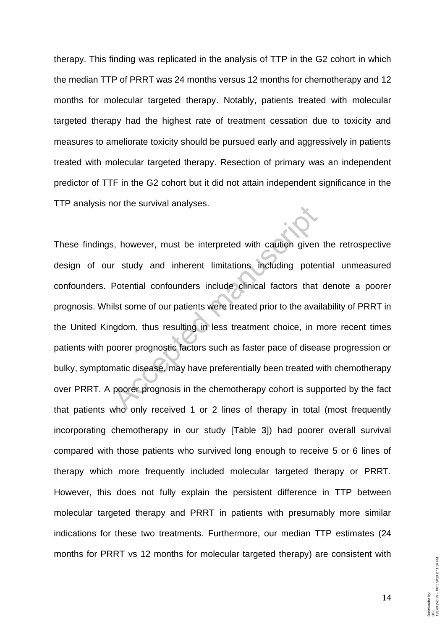therapy. This finding was replicated in the analysis of TTP in the G2 cohort in which the median TTP of PRRT was 24 months versus 12 months for chemotherapy and 12 months for molecular targeted therapy. Notably, patients treated with molecular targeted therapy had the highest rate of treatment cessation due to toxicity and measures to ameliorate toxicity should be pursued early and aggressively in patients treated with molecular targeted therapy. Resection of primary was an independent predictor of TTF in the G2 cohort but it did not attain independent significance in the TTP analysis nor the survival analyses.

These findings, however, must be interpreted with caution given the retrospective design of our study and inherent limitations including potential unmeasured confounders. Potential confounders include clinical factors that denote a poorer prognosis. Whilst some of our patients were treated prior to the availability of PRRT in the United Kingdom, thus resulting in less treatment choice, in more recent times patients with poorer prognostic factors such as faster pace of disease progression or bulky, symptomatic disease, may have preferentially been treated with chemotherapy over PRRT. A poorer prognosis in the chemotherapy cohort is supported by the fact that patients who only received 1 or 2 lines of therapy in total (most frequently incorporating chemotherapy in our study [Table 3]) had poorer overall survival compared with those patients who survived long enough to receive 5 or 6 lines of therapy which more frequently included molecular targeted therapy or PRRT. However, this does not fully explain the persistent difference in TTP between molecular targeted therapy and PRRT in patients with presumably more similar indications for these two treatments. Furthermore, our median TTP estimates (24 months for PRRT vs 12 months for molecular targeted therapy) are consistent with Solid the survival analyses.<br>
Accepts and inherent limitations including pote<br>
Potential confounders include clinical factors that<br>
list some of our patients were treated prior to the ava<br>
ngdom, thus resulting in less tre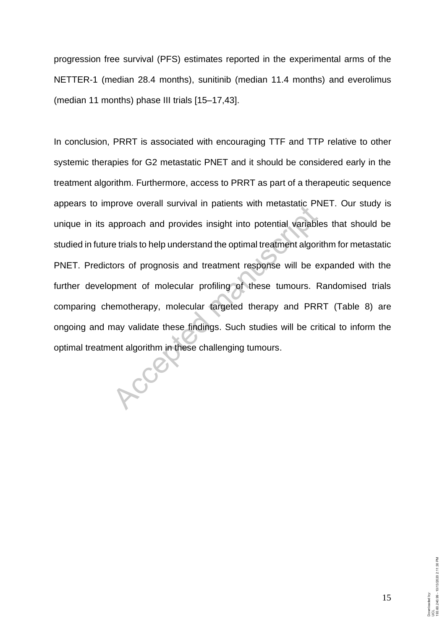progression free survival (PFS) estimates reported in the experimental arms of the NETTER-1 (median 28.4 months), sunitinib (median 11.4 months) and everolimus (median 11 months) phase III trials [15–17,43].

In conclusion, PRRT is associated with encouraging TTF and TTP relative to other systemic therapies for G2 metastatic PNET and it should be considered early in the treatment algorithm. Furthermore, access to PRRT as part of a therapeutic sequence appears to improve overall survival in patients with metastatic PNET. Our study is unique in its approach and provides insight into potential variables that should be studied in future trials to help understand the optimal treatment algorithm for metastatic PNET. Predictors of prognosis and treatment response will be expanded with the further development of molecular profiling of these tumours. Randomised trials comparing chemotherapy, molecular targeted therapy and PRRT (Table 8) are ongoing and may validate these findings. Such studies will be critical to inform the optimal treatment algorithm in these challenging tumours. approach and provides insight into potential variable trials to help understand the optimal treatment algor<br>tors of prognosis and treatment response will be e<br>pment of molecular profiling of these tumours. F<br>emotherapy, mo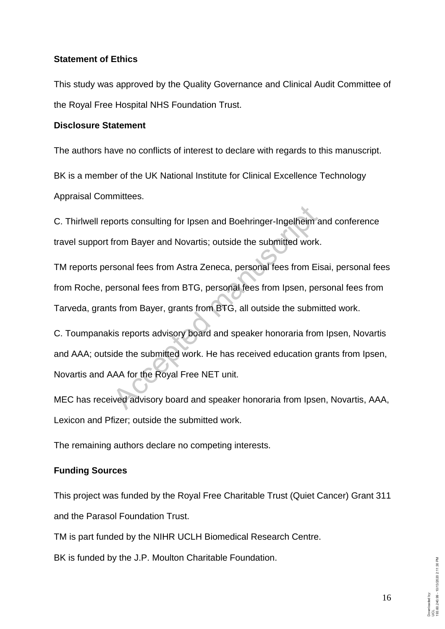# **Statement of Ethics**

This study was approved by the Quality Governance and Clinical Audit Committee of the Royal Free Hospital NHS Foundation Trust.

# **Disclosure Statement**

The authors have no conflicts of interest to declare with regards to this manuscript.

BK is a member of the UK National Institute for Clinical Excellence Technology Appraisal Committees.

C. Thirlwell reports consulting for Ipsen and Boehringer-Ingelheim and conference travel support from Bayer and Novartis; outside the submitted work.

TM reports personal fees from Astra Zeneca, personal fees from Eisai, personal fees from Roche, personal fees from BTG, personal fees from Ipsen, personal fees from Tarveda, grants from Bayer, grants from BTG, all outside the submitted work.

C. Toumpanakis reports advisory board and speaker honoraria from Ipsen, Novartis and AAA; outside the submitted work. He has received education grants from Ipsen, Novartis and AAA for the Royal Free NET unit. boots consulting for Ipsen and Boehringer-Ingelheim<br>from Bayer and Novartis; outside the submitted work<br>rsonal fees from Astra Zeneca, personal fees from E<br>resonal fees from BTG, personal fees from Ipsen, pe<br>is from Bayer,

MEC has received advisory board and speaker honoraria from Ipsen, Novartis, AAA, Lexicon and Pfizer; outside the submitted work.

The remaining authors declare no competing interests.

# **Funding Sources**

This project was funded by the Royal Free Charitable Trust (Quiet Cancer) Grant 311 and the Parasol Foundation Trust.

TM is part funded by the NIHR UCLH Biomedical Research Centre.

BK is funded by the J.P. Moulton Charitable Foundation.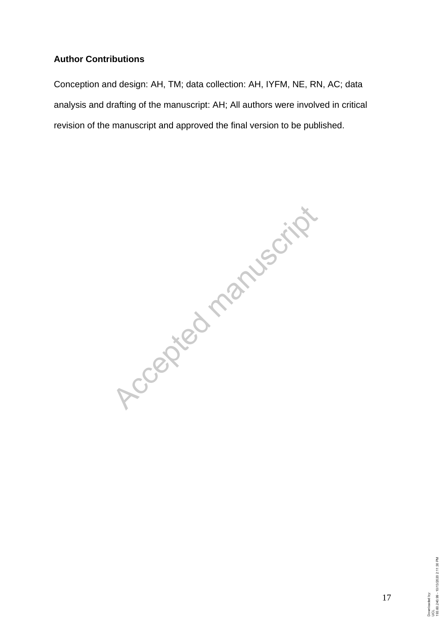# **Author Contributions**

Conception and design: AH, TM; data collection: AH, IYFM, NE, RN, AC; data analysis and drafting of the manuscript: AH; All authors were involved in critical revision of the manuscript and approved the final version to be published.

Accepted manuscript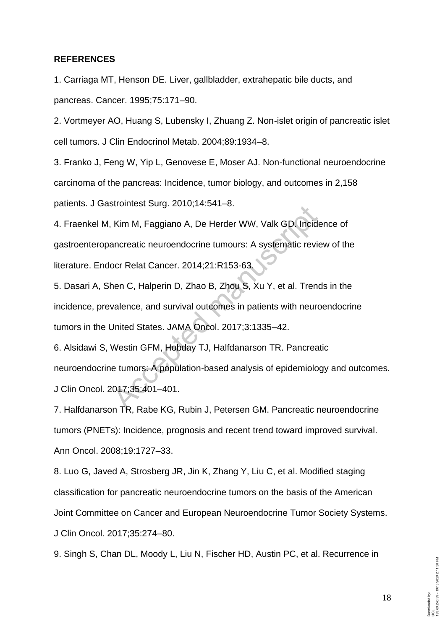#### **REFERENCES**

1. Carriaga MT, Henson DE. Liver, gallbladder, extrahepatic bile ducts, and pancreas. Cancer. 1995;75:171–90.

2. Vortmeyer AO, Huang S, Lubensky I, Zhuang Z. Non-islet origin of pancreatic islet cell tumors. J Clin Endocrinol Metab. 2004;89:1934–8.

3. Franko J, Feng W, Yip L, Genovese E, Moser AJ. Non-functional neuroendocrine carcinoma of the pancreas: Incidence, tumor biology, and outcomes in 2,158 patients. J Gastrointest Surg. 2010;14:541–8.

4. Fraenkel M, Kim M, Faggiano A, De Herder WW, Valk GD. Incidence of gastroenteropancreatic neuroendocrine tumours: A systematic review of the literature. Endocr Relat Cancer. 2014;21:R153-63. Kim M, Faggiano A, De Herder WW, Valk GD. Incidence<br>ancreatic neuroendocrine tumours: A systematic review.<br>Doct Relat Cancer. 2014;21:R153-63.<br>Nen C, Halperin D, Zhao B, Zhou S, Xu Y, et al. Tren<br>valence, and survival outc

5. Dasari A, Shen C, Halperin D, Zhao B, Zhou S, Xu Y, et al. Trends in the incidence, prevalence, and survival outcomes in patients with neuroendocrine tumors in the United States. JAMA Oncol. 2017;3:1335–42.

6. Alsidawi S, Westin GFM, Hobday TJ, Halfdanarson TR. Pancreatic neuroendocrine tumors: A population-based analysis of epidemiology and outcomes. J Clin Oncol. 2017;35:401–401.

7. Halfdanarson TR, Rabe KG, Rubin J, Petersen GM. Pancreatic neuroendocrine tumors (PNETs): Incidence, prognosis and recent trend toward improved survival. Ann Oncol. 2008;19:1727–33.

8. Luo G, Javed A, Strosberg JR, Jin K, Zhang Y, Liu C, et al. Modified staging classification for pancreatic neuroendocrine tumors on the basis of the American Joint Committee on Cancer and European Neuroendocrine Tumor Society Systems. J Clin Oncol. 2017;35:274–80.

9. Singh S, Chan DL, Moody L, Liu N, Fischer HD, Austin PC, et al. Recurrence in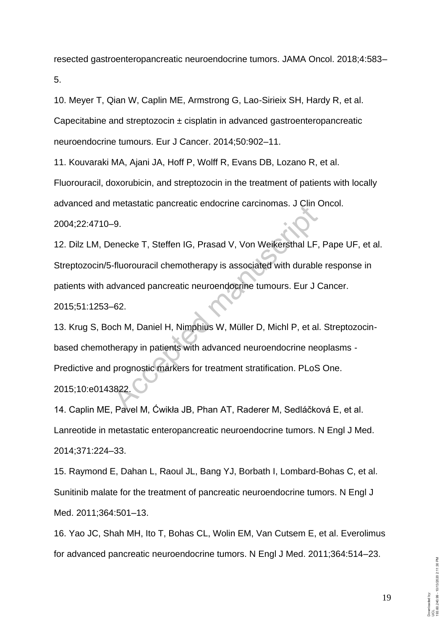resected gastroenteropancreatic neuroendocrine tumors. JAMA Oncol. 2018;4:583– 5.

10. Meyer T, Qian W, Caplin ME, Armstrong G, Lao-Sirieix SH, Hardy R, et al. Capecitabine and streptozocin  $\pm$  cisplatin in advanced gastroenteropancreatic neuroendocrine tumours. Eur J Cancer. 2014;50:902–11.

11. Kouvaraki MA, Ajani JA, Hoff P, Wolff R, Evans DB, Lozano R, et al.

Fluorouracil, doxorubicin, and streptozocin in the treatment of patients with locally advanced and metastatic pancreatic endocrine carcinomas. J Clin Oncol.

2004;22:4710–9.

12. Dilz LM, Denecke T, Steffen IG, Prasad V, Von Weikersthal LF, Pape UF, et al. Streptozocin/5-fluorouracil chemotherapy is associated with durable response in patients with advanced pancreatic neuroendocrine tumours. Eur J Cancer. 2015;51:1253–62.

13. Krug S, Boch M, Daniel H, Nimphius W, Müller D, Michl P, et al. Streptozocinbased chemotherapy in patients with advanced neuroendocrine neoplasms - Predictive and prognostic markers for treatment stratification. PLoS One. 2015;10:e0143822. Metastatic partiteatic entochine carchiomas. John 1-<br>
9.<br>
Huorouracil chemotherapy is associated with durable<br>
dvanced pancreatic neuroendocrine tumours. Eur J<br>
1-62.<br>
Co. M. Daniel H. Nimphius W. Müller D. Michl P. et al<br>

14. Caplin ME, Pavel M, Ćwikła JB, Phan AT, Raderer M, Sedláčková E, et al. Lanreotide in metastatic enteropancreatic neuroendocrine tumors. N Engl J Med. 2014;371:224–33.

15. Raymond E, Dahan L, Raoul JL, Bang YJ, Borbath I, Lombard-Bohas C, et al. Sunitinib malate for the treatment of pancreatic neuroendocrine tumors. N Engl J Med. 2011;364:501–13.

16. Yao JC, Shah MH, Ito T, Bohas CL, Wolin EM, Van Cutsem E, et al. Everolimus for advanced pancreatic neuroendocrine tumors. N Engl J Med. 2011;364:514–23.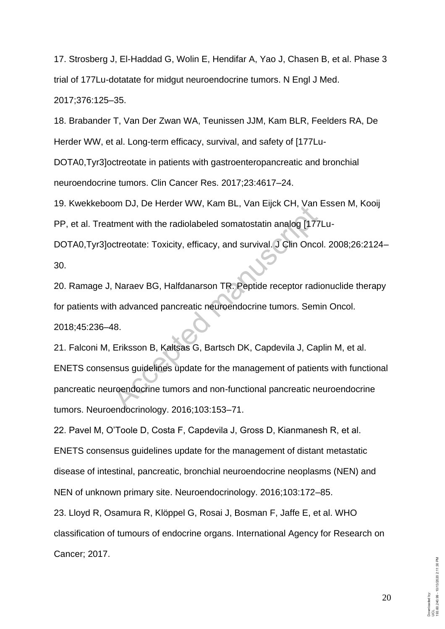17. Strosberg J, El-Haddad G, Wolin E, Hendifar A, Yao J, Chasen B, et al. Phase 3 trial of 177Lu-dotatate for midgut neuroendocrine tumors. N Engl J Med. 2017;376:125–35.

18. Brabander T, Van Der Zwan WA, Teunissen JJM, Kam BLR, Feelders RA, De Herder WW, et al. Long-term efficacy, survival, and safety of [177Lu-

DOTA0,Tyr3]octreotate in patients with gastroenteropancreatic and bronchial neuroendocrine tumors. Clin Cancer Res. 2017;23:4617–24.

19. Kwekkeboom DJ, De Herder WW, Kam BL, Van Eijck CH, Van Essen M, Kooij PP, et al. Treatment with the radiolabeled somatostatin analog [177Lu-

DOTA0,Tyr3]octreotate: Toxicity, efficacy, and survival. J Clin Oncol. 2008;26:2124– 30.

20. Ramage J, Naraev BG, Halfdanarson TR. Peptide receptor radionuclide therapy for patients with advanced pancreatic neuroendocrine tumors. Semin Oncol. 2018;45:236–48.

21. Falconi M, Eriksson B, Kaltsas G, Bartsch DK, Capdevila J, Caplin M, et al. ENETS consensus guidelines update for the management of patients with functional pancreatic neuroendocrine tumors and non-functional pancreatic neuroendocrine tumors. Neuroendocrinology. 2016;103:153–71. of Bot Bot Bot Reflects with the radiolabeled somatostatin analog [177]<br>treetate: Toxicity, efficacy, and survival. J Clin Once<br>Accreotate: Toxicity, efficacy, and survival. J Clin Once<br>A Naraev BG, Halfdanarson TR. Peptid

22. Pavel M, O'Toole D, Costa F, Capdevila J, Gross D, Kianmanesh R, et al. ENETS consensus guidelines update for the management of distant metastatic disease of intestinal, pancreatic, bronchial neuroendocrine neoplasms (NEN) and NEN of unknown primary site. Neuroendocrinology. 2016;103:172–85.

23. Lloyd R, Osamura R, Klöppel G, Rosai J, Bosman F, Jaffe E, et al. WHO classification of tumours of endocrine organs. International Agency for Research on Cancer; 2017.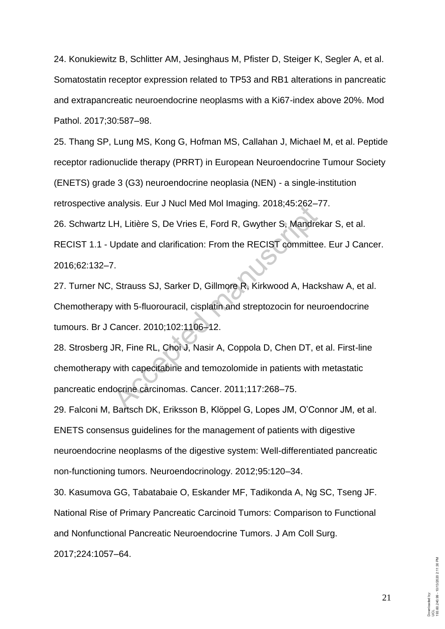24. Konukiewitz B, Schlitter AM, Jesinghaus M, Pfister D, Steiger K, Segler A, et al. Somatostatin receptor expression related to TP53 and RB1 alterations in pancreatic and extrapancreatic neuroendocrine neoplasms with a Ki67-index above 20%. Mod Pathol. 2017;30:587–98.

25. Thang SP, Lung MS, Kong G, Hofman MS, Callahan J, Michael M, et al. Peptide receptor radionuclide therapy (PRRT) in European Neuroendocrine Tumour Society (ENETS) grade 3 (G3) neuroendocrine neoplasia (NEN) - a single-institution retrospective analysis. Eur J Nucl Med Mol Imaging. 2018;45:262–77.

26. Schwartz LH, Litière S, De Vries E, Ford R, Gwyther S, Mandrekar S, et al.

RECIST 1.1 - Update and clarification: From the RECIST committee. Eur J Cancer. 2016;62:132–7.

27. Turner NC, Strauss SJ, Sarker D, Gillmore R, Kirkwood A, Hackshaw A, et al. Chemotherapy with 5-fluorouracil, cisplatin and streptozocin for neuroendocrine tumours. Br J Cancer. 2010;102:1106–12. The Update and clarification: From the RECIST committe<br>Update and clarification: From the RECIST committe<br>7.<br>Strauss SJ, Sarker D, Gillmore R, Kirkwood A, Hac<br>7. Strauss SJ, Sarker D, Gillmore R, Kirkwood A, Hac<br>7. with 5-

28. Strosberg JR, Fine RL, Choi J, Nasir A, Coppola D, Chen DT, et al. First-line chemotherapy with capecitabine and temozolomide in patients with metastatic pancreatic endocrine carcinomas. Cancer. 2011;117:268–75.

29. Falconi M, Bartsch DK, Eriksson B, Klöppel G, Lopes JM, O'Connor JM, et al. ENETS consensus guidelines for the management of patients with digestive neuroendocrine neoplasms of the digestive system: Well-differentiated pancreatic non-functioning tumors. Neuroendocrinology. 2012;95:120–34.

30. Kasumova GG, Tabatabaie O, Eskander MF, Tadikonda A, Ng SC, Tseng JF. National Rise of Primary Pancreatic Carcinoid Tumors: Comparison to Functional and Nonfunctional Pancreatic Neuroendocrine Tumors. J Am Coll Surg.

2017;224:1057–64.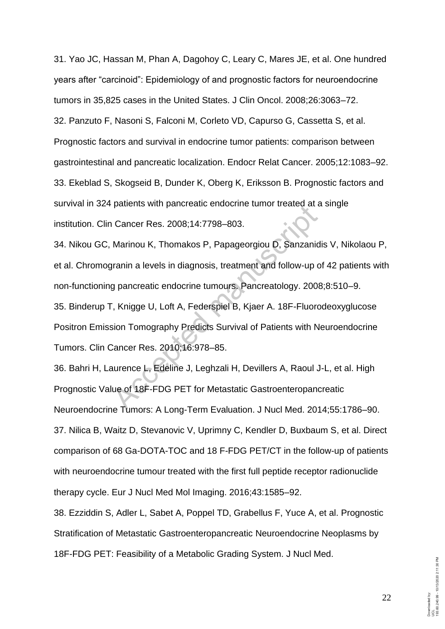31. Yao JC, Hassan M, Phan A, Dagohoy C, Leary C, Mares JE, et al. One hundred years after "carcinoid": Epidemiology of and prognostic factors for neuroendocrine tumors in 35,825 cases in the United States. J Clin Oncol. 2008;26:3063–72. 32. Panzuto F, Nasoni S, Falconi M, Corleto VD, Capurso G, Cassetta S, et al. Prognostic factors and survival in endocrine tumor patients: comparison between gastrointestinal and pancreatic localization. Endocr Relat Cancer. 2005;12:1083–92. 33. Ekeblad S, Skogseid B, Dunder K, Oberg K, Eriksson B. Prognostic factors and survival in 324 patients with pancreatic endocrine tumor treated at a single institution. Clin Cancer Res. 2008;14:7798–803.

34. Nikou GC, Marinou K, Thomakos P, Papageorgiou D, Sanzanidis V, Nikolaou P, et al. Chromogranin a levels in diagnosis, treatment and follow-up of 42 patients with non-functioning pancreatic endocrine tumours. Pancreatology. 2008;8:510–9. 35. Binderup T, Knigge U, Loft A, Federspiel B, Kjaer A. 18F-Fluorodeoxyglucose Positron Emission Tomography Predicts Survival of Patients with Neuroendocrine Tumors. Clin Cancer Res. 2010;16:978–85. patients with pancreatic endocrine turnor treated at a<br>
Cancer Res. 2008;14:7798–803.<br>
Marinou K, Thomakos P, Papageorgiou D, Sanzanio<br>
granin a levels in diagnosis, treatment and follow-up of<br>
g pancreatic endocrine tumou

36. Bahri H, Laurence L, Edeline J, Leghzali H, Devillers A, Raoul J-L, et al. High Prognostic Value of 18F-FDG PET for Metastatic Gastroenteropancreatic Neuroendocrine Tumors: A Long-Term Evaluation. J Nucl Med. 2014;55:1786–90. 37. Nilica B, Waitz D, Stevanovic V, Uprimny C, Kendler D, Buxbaum S, et al. Direct comparison of 68 Ga-DOTA-TOC and 18 F-FDG PET/CT in the follow-up of patients with neuroendocrine tumour treated with the first full peptide receptor radionuclide therapy cycle. Eur J Nucl Med Mol Imaging. 2016;43:1585–92.

38. Ezziddin S, Adler L, Sabet A, Poppel TD, Grabellus F, Yuce A, et al. Prognostic Stratification of Metastatic Gastroenteropancreatic Neuroendocrine Neoplasms by 18F-FDG PET: Feasibility of a Metabolic Grading System. J Nucl Med.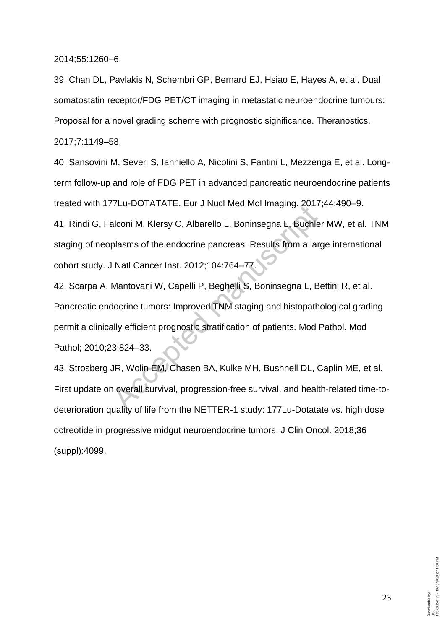2014;55:1260–6.

39. Chan DL, Pavlakis N, Schembri GP, Bernard EJ, Hsiao E, Hayes A, et al. Dual somatostatin receptor/FDG PET/CT imaging in metastatic neuroendocrine tumours: Proposal for a novel grading scheme with prognostic significance. Theranostics. 2017;7:1149–58.

40. Sansovini M, Severi S, Ianniello A, Nicolini S, Fantini L, Mezzenga E, et al. Longterm follow-up and role of FDG PET in advanced pancreatic neuroendocrine patients treated with 177Lu-DOTATATE. Eur J Nucl Med Mol Imaging. 2017;44:490–9.

41. Rindi G, Falconi M, Klersy C, Albarello L, Boninsegna L, Buchler MW, et al. TNM staging of neoplasms of the endocrine pancreas: Results from a large international cohort study. J Natl Cancer Inst. 2012;104:764–77.

42. Scarpa A, Mantovani W, Capelli P, Beghelli S, Boninsegna L, Bettini R, et al. Pancreatic endocrine tumors: Improved TNM staging and histopathological grading permit a clinically efficient prognostic stratification of patients. Mod Pathol. Mod Pathol; 2010;23:824–33. PLATATE: Edi 3 Ndchwed with inlaging. 2017<br>alconi M, Klersy C, Albarello L, Boninsegna L, Buchle<br>plasms of the endocrine pancreas: Results from a lat<br>Natl Cancer Inst. 2012;104:764–77.<br>Mantovani W, Capelli P, Beghelli S, B

43. Strosberg JR, Wolin EM, Chasen BA, Kulke MH, Bushnell DL, Caplin ME, et al. First update on overall survival, progression-free survival, and health-related time-todeterioration quality of life from the NETTER-1 study: 177Lu-Dotatate vs. high dose octreotide in progressive midgut neuroendocrine tumors. J Clin Oncol. 2018;36 (suppl):4099.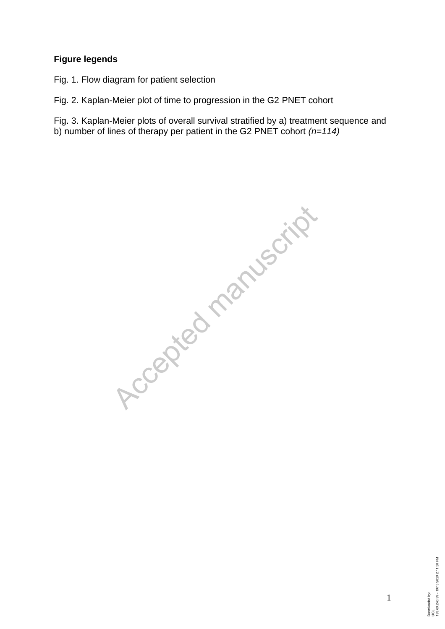# **Figure legends**

Fig. 1. Flow diagram for patient selection

Fig. 2. Kaplan-Meier plot of time to progression in the G2 PNET cohort

Fig. 3. Kaplan-Meier plots of overall survival stratified by a) treatment sequence and b) number of lines of therapy per patient in the G2 PNET cohort *(n=114)*

Accepted manuscript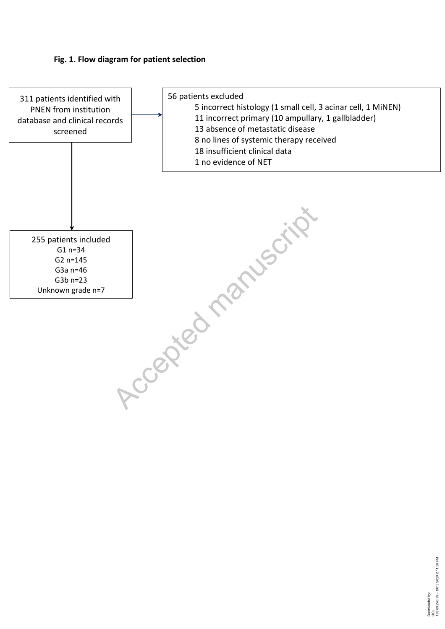# **Fig. 1. Flow diagram for patient selection**

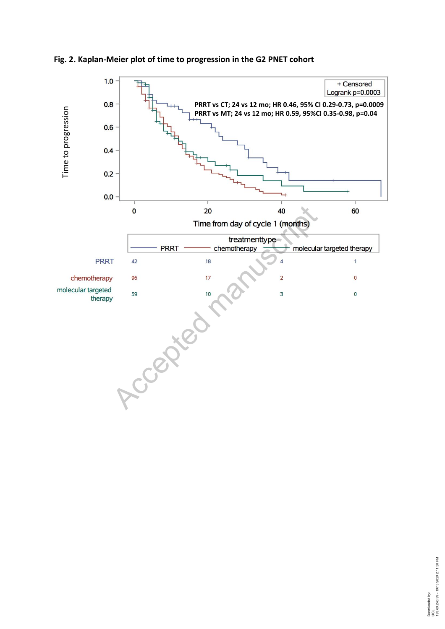

# **Fig. 2. Kaplan-Meier plot of time to progression in the G2 PNET cohort**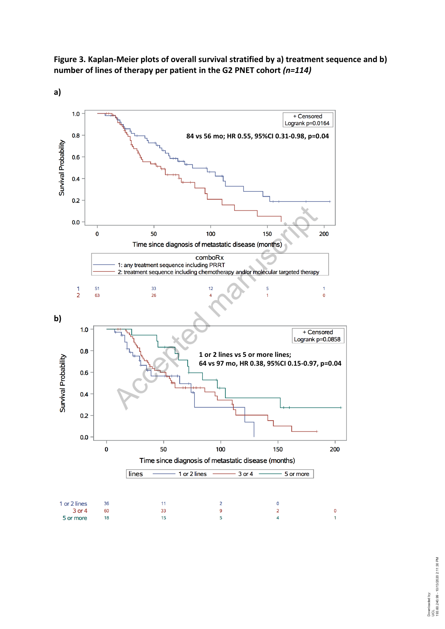



**a)**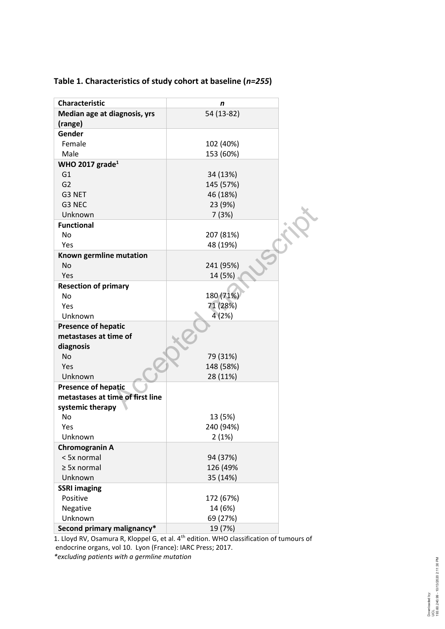| <b>Characteristic</b>            | n          |
|----------------------------------|------------|
| Median age at diagnosis, yrs     | 54 (13-82) |
| (range)                          |            |
| Gender                           |            |
| Female                           | 102 (40%)  |
| Male                             | 153 (60%)  |
| WHO 2017 $grade1$                |            |
| G <sub>1</sub>                   | 34 (13%)   |
| G <sub>2</sub>                   | 145 (57%)  |
| G3 NET                           | 46 (18%)   |
| G3 NEC                           | 23 (9%)    |
| Unknown                          | 7(3%)      |
| <b>Functional</b>                |            |
| No                               | 207 (81%)  |
| Yes                              | 48 (19%)   |
| Known germline mutation          |            |
| No                               | 241 (95%)  |
| Yes                              | 14 (5%)    |
| <b>Resection of primary</b>      |            |
| No                               | 180 (71%)  |
| Yes                              | 71 (28%)   |
| Unknown                          | 4 (2%)     |
| <b>Presence of hepatic</b>       |            |
| metastases at time of            |            |
| diagnosis                        |            |
| No                               | 79 (31%)   |
| Yes                              | 148 (58%)  |
| Unknown                          | 28 (11%)   |
| <b>Presence of hepatic</b>       |            |
| metastases at time of first line |            |
| systemic therapy                 |            |
| No                               | 13 (5%)    |
| Yes                              | 240 (94%)  |
| Unknown                          |            |
|                                  | 2(1%)      |
| <b>Chromogranin A</b>            |            |
| < 5x normal                      | 94 (37%)   |
| $\geq$ 5x normal                 | 126 (49%   |
| Unknown                          | 35 (14%)   |
| <b>SSRI imaging</b>              |            |
| Positive                         | 172 (67%)  |
| Negative                         | 14 (6%)    |
| Unknown                          | 69 (27%)   |
| Second primary malignancy*       | 19 (7%)    |

# **Table 1. Characteristics of study cohort at baseline (***n=255* **)**

1. Lloyd RV, Osamura R, Kloppel G, et al. 4<sup>th</sup> edition. WHO classification of tumours of endocrine organs, vol 10. Lyon (France): IARC Press; 2017. *\*excluding patients with a germline mutation*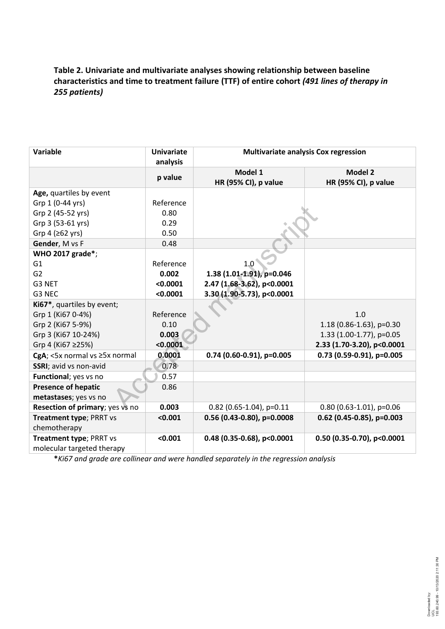# **Table 2. Univariate and multivariate analyses showing relationship between baseline characteristics and time to treatment failure (TTF) of entire cohort** *(491 lines of therapy in 255 patients)*

| Variable                        | <b>Univariate</b><br>analysis | <b>Multivariate analysis Cox regression</b> |                                        |  |
|---------------------------------|-------------------------------|---------------------------------------------|----------------------------------------|--|
|                                 | p value                       | Model 1<br>HR (95% CI), p value             | <b>Model 2</b><br>HR (95% CI), p value |  |
| Age, quartiles by event         |                               |                                             |                                        |  |
| Grp 1 (0-44 yrs)                | Reference                     |                                             |                                        |  |
| Grp 2 (45-52 yrs)               | 0.80                          |                                             |                                        |  |
| Grp 3 (53-61 yrs)               | 0.29                          |                                             |                                        |  |
| Grp 4 ( $\geq 62$ yrs)          | 0.50                          |                                             |                                        |  |
| Gender, M vs F                  | 0.48                          |                                             |                                        |  |
| WHO 2017 grade*;                |                               |                                             |                                        |  |
| G <sub>1</sub>                  | Reference                     | 1.0                                         |                                        |  |
| G <sub>2</sub>                  | 0.002                         | 1.38 (1.01-1.91), p=0.046                   |                                        |  |
| G3 NET                          | < 0.0001                      | 2.47 (1.68-3.62), p<0.0001                  |                                        |  |
| G3 NEC                          | < 0.0001                      | 3.30 (1.90-5.73), p<0.0001                  |                                        |  |
| Ki67*, quartiles by event;      |                               |                                             |                                        |  |
| Grp 1 (Ki67 0-4%)               | Reference                     |                                             | 1.0                                    |  |
| Grp 2 (Ki67 5-9%)               | 0.10                          |                                             | 1.18 (0.86-1.63), $p=0.30$             |  |
| Grp 3 (Ki67 10-24%)             | 0.003                         |                                             | 1.33 (1.00-1.77), p=0.05               |  |
| Grp 4 (Ki67 ≥25%)               | < 0.0001                      |                                             | 2.33 (1.70-3.20), p<0.0001             |  |
| CgA; <5x normal vs ≥5x normal   | 0.0001                        | $0.74$ (0.60-0.91), p=0.005                 | $0.73$ (0.59-0.91), p=0.005            |  |
| SSRI; avid vs non-avid          | 0.78                          |                                             |                                        |  |
| Functional; yes vs no           | 0.57                          |                                             |                                        |  |
| <b>Presence of hepatic</b>      | 0.86                          |                                             |                                        |  |
| metastases; yes vs no           |                               |                                             |                                        |  |
| Resection of primary; yes vs no | 0.003                         | $0.82$ (0.65-1.04), p=0.11                  | $0.80$ (0.63-1.01), p=0.06             |  |
| Treatment type; PRRT vs         | < 0.001                       | $0.56$ (0.43-0.80), p=0.0008                | $0.62$ (0.45-0.85), p=0.003            |  |
| chemotherapy                    |                               |                                             |                                        |  |
| Treatment type; PRRT vs         | < 0.001                       | $0.48$ (0.35-0.68), p<0.0001                | $0.50$ (0.35-0.70), p<0.0001           |  |
| molecular targeted therapy      |                               |                                             |                                        |  |

**\****Ki67 and grade are collinear and were handled separately in the regression analysis*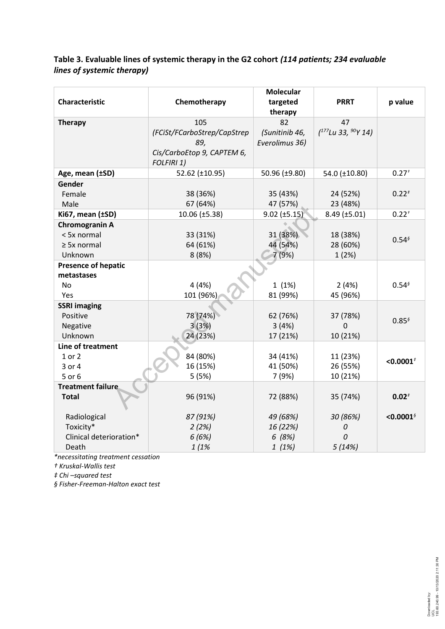# **Table 3. Evaluable lines of systemic therapy in the G2 cohort** *(114 patients; 234 evaluable lines of systemic therapy)*

| Characteristic             | Chemotherapy                             | <b>Molecular</b><br>targeted<br>therapy | <b>PRRT</b>                          | p value                 |
|----------------------------|------------------------------------------|-----------------------------------------|--------------------------------------|-------------------------|
| <b>Therapy</b>             | 105<br>(FCiSt/FCarboStrep/CapStrep       | 82<br>(Sunitinib 46,                    | 47<br>$(^{177}$ Lu 33, $^{90}$ Y 14) |                         |
|                            | 89,                                      | Everolimus 36)                          |                                      |                         |
|                            | Cis/CarboEtop 9, CAPTEM 6,<br>FOLFIRI 1) |                                         |                                      |                         |
| Age, mean (±SD)            | 52.62 (±10.95)                           | 50.96 (±9.80)                           | 54.0 (±10.80)                        | $0.27^{+}$              |
| Gender                     |                                          |                                         |                                      |                         |
| Female                     | 38 (36%)                                 | 35 (43%)                                | 24 (52%)                             | $0.22^{t}$              |
| Male                       | 67 (64%)                                 | 47 (57%)                                | 23 (48%)                             |                         |
| Ki67, mean (±SD)           | 10.06 (±5.38)                            | $9.02$ ( $\pm 5.15$ )                   | 8.49 (±5.01)                         | $0.22^{+}$              |
| Chromogranin A             |                                          |                                         |                                      |                         |
| < 5x normal                | 33 (31%)                                 | 31 (38%)                                | 18 (38%)                             | $0.54^{6}$              |
| $\geq$ 5x normal           | 64 (61%)                                 | 44 (54%)                                | 28 (60%)                             |                         |
| Unknown                    | 8(8%)                                    | 7 (9%)                                  | 1(2%)                                |                         |
| <b>Presence of hepatic</b> |                                          |                                         |                                      |                         |
| metastases                 |                                          |                                         |                                      |                         |
| No                         | 4(4%)                                    | 1(1%)                                   | 2(4%)                                | $0.54^{6}$              |
| Yes                        | 101 (96%)                                | 81 (99%)                                | 45 (96%)                             |                         |
| <b>SSRI imaging</b>        |                                          |                                         |                                      |                         |
| Positive                   | 78 (74%)                                 | 62 (76%)                                | 37 (78%)                             | $0.85^{6}$              |
| Negative                   | 3(3%)                                    | 3(4%)                                   | 0                                    |                         |
| Unknown                    | 24 (23%)                                 | 17 (21%)                                | 10 (21%)                             |                         |
| Line of treatment          |                                          |                                         |                                      |                         |
| 1 or 2                     | 84 (80%)                                 | 34 (41%)                                | 11 (23%)                             | $<$ 0.0001 $^{\dagger}$ |
| 3 or 4                     | 16 (15%)                                 | 41 (50%)                                | 26 (55%)                             |                         |
| 5 or 6                     | 5(5%)                                    | 7 (9%)                                  | 10 (21%)                             |                         |
| <b>Treatment failure</b>   |                                          |                                         |                                      |                         |
| <b>Total</b>               | 96 (91%)                                 | 72 (88%)                                | 35 (74%)                             | $0.02^{t}$              |
| Radiological               | 87 (91%)                                 | 49 (68%)                                | 30 (86%)                             | $<$ 0.0001 $^{\circ}$   |
| Toxicity*                  | 2(2%)                                    | 16 (22%)                                | 0                                    |                         |
| Clinical deterioration*    | 6(6%)                                    | 6(8%)                                   | 0                                    |                         |
| Death                      | 1(1%                                     | 1(1%)                                   | 5(14%)                               |                         |

*\*necessitating treatment cessation* 

*† Kruskal-Wallis test*

*‡ Chi –squared test* 

*§ Fisher-Freeman-Halton exact test*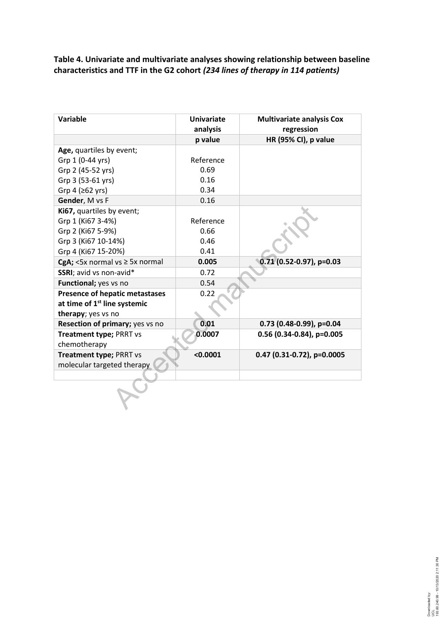**Table 4. Univariate and multivariate analyses showing relationship between baseline characteristics and TTF in the G2 cohort** *(234 lines of therapy in 114 patients)*

| <b>Variable</b>                          | <b>Univariate</b><br>analysis | <b>Multivariate analysis Cox</b><br>regression |
|------------------------------------------|-------------------------------|------------------------------------------------|
|                                          | p value                       | HR (95% CI), p value                           |
| Age, quartiles by event;                 |                               |                                                |
| Grp 1 (0-44 yrs)                         | Reference                     |                                                |
| Grp 2 (45-52 yrs)                        | 0.69                          |                                                |
| Grp 3 (53-61 yrs)                        | 0.16                          |                                                |
| Grp 4 ( $\geq 62$ yrs)                   | 0.34                          |                                                |
| Gender, M vs F                           | 0.16                          |                                                |
| Ki67, quartiles by event;                |                               |                                                |
| Grp 1 (Ki67 3-4%)                        | Reference                     |                                                |
| Grp 2 (Ki67 5-9%)                        | 0.66                          |                                                |
| Grp 3 (Ki67 10-14%)                      | 0.46                          |                                                |
| Grp 4 (Ki67 15-20%)                      | 0.41                          |                                                |
| CgA; <5x normal vs $\geq$ 5x normal      | 0.005                         | $0.71$ (0.52-0.97), p=0.03                     |
| SSRI; avid vs non-avid*                  | 0.72                          |                                                |
| Functional; yes vs no                    | 0.54                          |                                                |
| <b>Presence of hepatic metastases</b>    | 0.22                          |                                                |
| at time of 1 <sup>st</sup> line systemic |                               |                                                |
| therapy; yes vs no                       |                               |                                                |
| Resection of primary; yes vs no          | 0.01                          | $0.73$ (0.48-0.99), p=0.04                     |
| Treatment type; PRRT vs                  | 0.0007                        | 0.56 (0.34-0.84), p=0.005                      |
| chemotherapy                             |                               |                                                |
| Treatment type; PRRT vs                  | < 0.0001                      | $0.47$ (0.31-0.72), p=0.0005                   |
| molecular targeted therapy               |                               |                                                |
|                                          |                               |                                                |
|                                          |                               |                                                |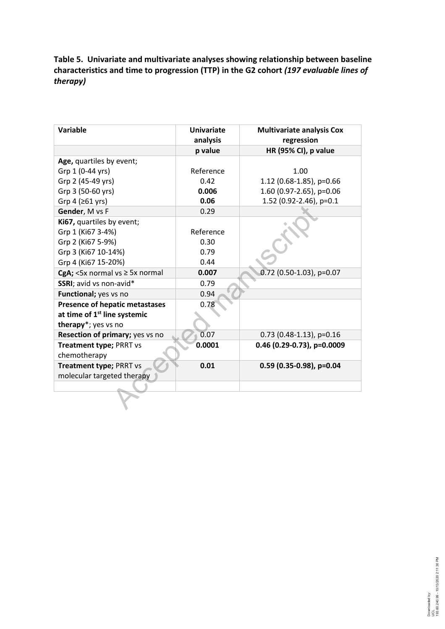# **Table 5. Univariate and multivariate analyses showing relationship between baseline characteristics and time to progression (TTP) in the G2 cohort** *(197 evaluable lines of therapy)*

| <b>Variable</b>                          | Univariate<br>analysis | <b>Multivariate analysis Cox</b><br>regression |
|------------------------------------------|------------------------|------------------------------------------------|
|                                          | p value                | HR (95% CI), p value                           |
| Age, quartiles by event;                 |                        |                                                |
| Grp 1 (0-44 yrs)                         | Reference              | 1.00                                           |
| Grp 2 (45-49 yrs)                        | 0.42                   | 1.12 (0.68-1.85), $p=0.66$                     |
| Grp 3 (50-60 yrs)                        | 0.006                  | 1.60 (0.97-2.65), p=0.06                       |
| Grp 4 ( $\geq 61$ yrs)                   | 0.06                   | 1.52 (0.92-2.46), p=0.1                        |
| Gender, M vs F                           | 0.29                   |                                                |
| Ki67, quartiles by event;                |                        |                                                |
| Grp 1 (Ki67 3-4%)                        | Reference              |                                                |
| Grp 2 (Ki67 5-9%)                        | 0.30                   |                                                |
| Grp 3 (Ki67 10-14%)                      | 0.79                   |                                                |
| Grp 4 (Ki67 15-20%)                      | 0.44                   |                                                |
| CgA; <5x normal vs $\geq$ 5x normal      | 0.007                  | 0.72 (0.50-1.03), p=0.07                       |
| SSRI; avid vs non-avid*                  | 0.79                   |                                                |
| Functional; yes vs no                    | 0.94                   |                                                |
| <b>Presence of hepatic metastases</b>    | 0.78                   |                                                |
| at time of 1 <sup>st</sup> line systemic |                        |                                                |
| therapy*; yes vs no                      |                        |                                                |
| Resection of primary; yes vs no          | 0.07                   | $0.73$ (0.48-1.13), p=0.16                     |
| Treatment type; PRRT vs                  | 0.0001                 | $0.46$ (0.29-0.73), p=0.0009                   |
| chemotherapy                             |                        |                                                |
| Treatment type; PRRT vs                  | 0.01                   | $0.59$ (0.35-0.98), p=0.04                     |
| molecular targeted therapy               |                        |                                                |
|                                          |                        |                                                |
|                                          |                        |                                                |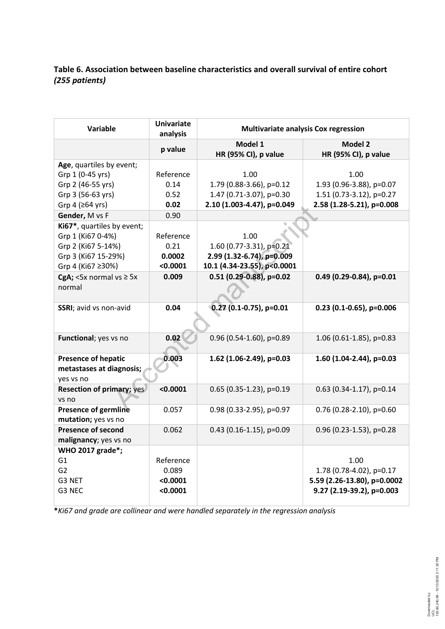# **Table 6. Association between baseline characteristics and overall survival of entire cohort** *(255 patients)*

| <b>Variable</b>                                    | <b>Univariate</b><br>analysis | <b>Multivariate analysis Cox regression</b> |                                        |  |  |
|----------------------------------------------------|-------------------------------|---------------------------------------------|----------------------------------------|--|--|
|                                                    | p value                       | Model 1<br>HR (95% CI), p value             | <b>Model 2</b><br>HR (95% CI), p value |  |  |
| Age, quartiles by event;                           |                               |                                             |                                        |  |  |
| Grp 1 (0-45 yrs)                                   | Reference                     | 1.00                                        | 1.00                                   |  |  |
| Grp 2 (46-55 yrs)                                  | 0.14                          | 1.79 (0.88-3.66), p=0.12                    | 1.93 (0.96-3.88), p=0.07               |  |  |
| Grp 3 (56-63 yrs)                                  | 0.52                          | 1.47 (0.71-3.07), p=0.30                    | 1.51 (0.73-3.12), p=0.27               |  |  |
| Grp 4 (≥64 yrs)                                    | 0.02                          | 2.10 (1.003-4.47), p=0.049                  | 2.58 (1.28-5.21), p=0.008              |  |  |
| Gender, M vs F                                     | 0.90                          |                                             |                                        |  |  |
| Ki67*, quartiles by event;                         |                               |                                             |                                        |  |  |
| Grp 1 (Ki67 0-4%)                                  | Reference                     | 1.00                                        |                                        |  |  |
| Grp 2 (Ki67 5-14%)                                 | 0.21                          | 1.60 (0.77-3.31), p=0.21                    |                                        |  |  |
| Grp 3 (Ki67 15-29%)                                | 0.0002                        | 2.99 (1.32-6.74), p=0.009                   |                                        |  |  |
| Grp 4 (Ki67 ≥30%)                                  | < 0.0001                      | 10.1 (4.34-23.55), p<0.0001                 |                                        |  |  |
| CgA; $<$ 5x normal vs $\geq$ 5x                    | 0.009                         | $0.51$ (0.29-0.88), p=0.02                  | $0.49$ (0.29-0.84), p=0.01             |  |  |
| normal                                             |                               |                                             |                                        |  |  |
| SSRI; avid vs non-avid                             | 0.04                          | $0.27(0.1-0.75)$ , p=0.01                   | $0.23$ (0.1-0.65), p=0.006             |  |  |
|                                                    |                               |                                             |                                        |  |  |
| Functional; yes vs no                              | 0.02                          | $0.96$ (0.54-1.60), p=0.89                  | 1.06 (0.61-1.85), p=0.83               |  |  |
| <b>Presence of hepatic</b>                         | 0.003                         | 1.62 (1.06-2.49), p=0.03                    | 1.60 $(1.04-2.44)$ , p=0.03            |  |  |
| metastases at diagnosis;<br>yes vs no              |                               |                                             |                                        |  |  |
| <b>Resection of primary; yes</b><br>vs no          | < 0.0001                      | $0.65$ (0.35-1.23), p=0.19                  | $0.63$ (0.34-1.17), p=0.14             |  |  |
| <b>Presence of germline</b><br>mutation; yes vs no | 0.057                         | 0.98 (0.33-2.95), p=0.97                    | $0.76$ (0.28-2.10), p=0.60             |  |  |
| <b>Presence of second</b>                          | 0.062                         | $0.43$ (0.16-1.15), p=0.09                  | $0.96$ (0.23-1.53), p=0.28             |  |  |
| malignancy; yes vs no                              |                               |                                             |                                        |  |  |
| WHO 2017 grade*;                                   |                               |                                             |                                        |  |  |
| G <sub>1</sub>                                     | Reference                     |                                             | 1.00                                   |  |  |
| G <sub>2</sub>                                     | 0.089                         |                                             | 1.78 (0.78-4.02), p=0.17               |  |  |
| G3 NET                                             | < 0.0001                      |                                             | 5.59 (2.26-13.80), p=0.0002            |  |  |
| G3 NEC                                             | < 0.0001                      |                                             | 9.27 (2.19-39.2), p=0.003              |  |  |

**\****Ki67 and grade are collinear and were handled separately in the regression analysis*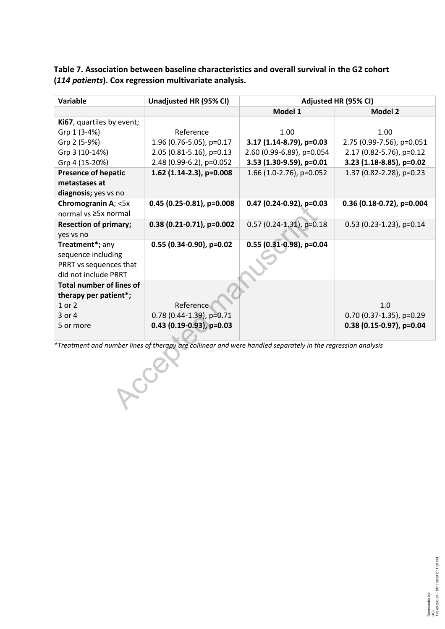**Table 7. Association between baseline characteristics and overall survival in the G2 cohort (***114 patients***). Cox regression multivariate analysis.**

| Variable                        | Unadjusted HR (95% CI)                                                                                      | Adjusted HR (95% CI)       |                             |  |  |
|---------------------------------|-------------------------------------------------------------------------------------------------------------|----------------------------|-----------------------------|--|--|
|                                 |                                                                                                             | Model 1                    | <b>Model 2</b>              |  |  |
| Ki67, quartiles by event;       |                                                                                                             |                            |                             |  |  |
| Grp 1 (3-4%)                    | Reference                                                                                                   | 1.00                       | 1.00                        |  |  |
| Grp 2 (5-9%)                    | 1.96 (0.76-5.05), p=0.17                                                                                    | 3.17 (1.14-8.79), p=0.03   | 2.75 (0.99-7.56), p=0.051   |  |  |
| Grp 3 (10-14%)                  | 2.05 (0.81-5.16), p=0.13                                                                                    | 2.60 (0.99-6.89), p=0.054  | 2.17 (0.82-5.76), p=0.12    |  |  |
| Grp 4 (15-20%)                  | 2.48 (0.99-6.2), p=0.052                                                                                    | 3.53 (1.30-9.59), p=0.01   | 3.23 (1.18-8.85), p=0.02    |  |  |
| <b>Presence of hepatic</b>      | 1.62 (1.14-2.3), p=0.008                                                                                    | 1.66 (1.0-2.76), p=0.052   | 1.37 (0.82-2.28), p=0.23    |  |  |
| metastases at                   |                                                                                                             |                            |                             |  |  |
| diagnosis; yes vs no            |                                                                                                             |                            |                             |  |  |
| Chromogranin A; <5x             | $0.45$ (0.25-0.81), p=0.008                                                                                 | $0.47$ (0.24-0.92), p=0.03 | $0.36$ (0.18-0.72), p=0.004 |  |  |
| normal vs ≥5x normal            |                                                                                                             |                            |                             |  |  |
| <b>Resection of primary;</b>    | $0.38(0.21-0.71)$ , p=0.002                                                                                 | $0.57$ (0.24-1.31), p=0.18 | $0.53$ (0.23-1.23), p=0.14  |  |  |
| yes vs no                       |                                                                                                             |                            |                             |  |  |
| Treatment*; any                 | $0.55$ (0.34-0.90), p=0.02                                                                                  | $0.55$ (0.31-0.98), p=0.04 |                             |  |  |
| sequence including              |                                                                                                             |                            |                             |  |  |
| PRRT vs sequences that          |                                                                                                             |                            |                             |  |  |
| did not include PRRT            |                                                                                                             |                            |                             |  |  |
| <b>Total number of lines of</b> |                                                                                                             |                            |                             |  |  |
| therapy per patient*;           |                                                                                                             |                            |                             |  |  |
| 1 or 2                          | Reference                                                                                                   |                            | 1.0                         |  |  |
| 3 or 4                          | 0.78 (0.44-1.39), p=0.71                                                                                    |                            | $0.70$ (0.37-1.35), p=0.29  |  |  |
| 5 or more                       | 0.43 (0.19-0.93), $p=0.03$                                                                                  |                            | $0.38$ (0.15-0.97), p=0.04  |  |  |
|                                 | *Treatment and number lines of therapy are collinear and were handled separately in the regression analysis |                            |                             |  |  |
|                                 |                                                                                                             |                            |                             |  |  |
|                                 |                                                                                                             |                            |                             |  |  |
|                                 |                                                                                                             |                            |                             |  |  |
|                                 |                                                                                                             |                            |                             |  |  |
|                                 |                                                                                                             |                            |                             |  |  |
|                                 |                                                                                                             |                            |                             |  |  |